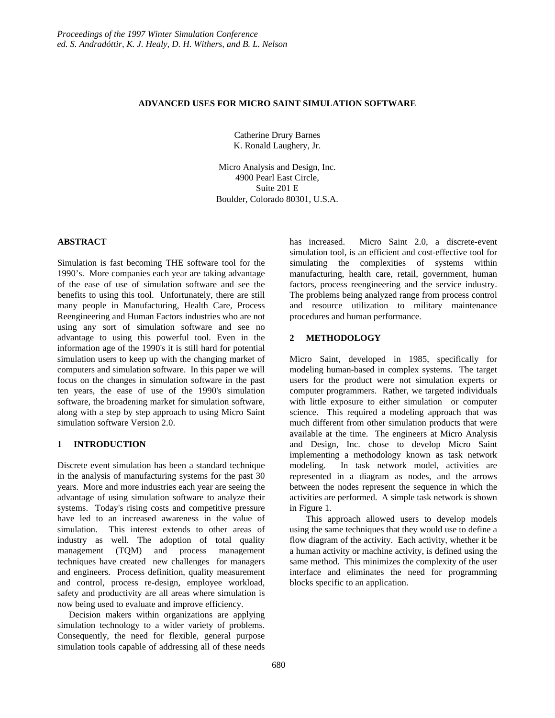### **ADVANCED USES FOR MICRO SAINT SIMULATION SOFTWARE**

Catherine Drury Barnes K. Ronald Laughery, Jr.

Micro Analysis and Design, Inc. 4900 Pearl East Circle, Suite 201 E Boulder, Colorado 80301, U.S.A.

## **ABSTRACT**

Simulation is fast becoming THE software tool for the 1990's. More companies each year are taking advantage of the ease of use of simulation software and see the benefits to using this tool. Unfortunately, there are still many people in Manufacturing, Health Care, Process Reengineering and Human Factors industries who are not using any sort of simulation software and see no advantage to using this powerful tool. Even in the information age of the 1990's it is still hard for potential simulation users to keep up with the changing market of computers and simulation software. In this paper we will focus on the changes in simulation software in the past ten years, the ease of use of the 1990's simulation software, the broadening market for simulation software, along with a step by step approach to using Micro Saint simulation software Version 2.0.

# **1 INTRODUCTION**

Discrete event simulation has been a standard technique in the analysis of manufacturing systems for the past 30 years. More and more industries each year are seeing the advantage of using simulation software to analyze their systems. Today's rising costs and competitive pressure have led to an increased awareness in the value of simulation. This interest extends to other areas of industry as well. The adoption of total quality management (TQM) and process management techniques have created new challenges for managers and engineers. Process definition, quality measurement and control, process re-design, employee workload, safety and productivity are all areas where simulation is now being used to evaluate and improve efficiency.

 Decision makers within organizations are applying simulation technology to a wider variety of problems. Consequently, the need for flexible, general purpose simulation tools capable of addressing all of these needs

has increased. Micro Saint 2.0, a discrete-event simulation tool, is an efficient and cost-effective tool for simulating the complexities of systems within manufacturing, health care, retail, government, human factors, process reengineering and the service industry. The problems being analyzed range from process control and resource utilization to military maintenance procedures and human performance.

## **2 METHODOLOGY**

Micro Saint, developed in 1985, specifically for modeling human-based in complex systems. The target users for the product were not simulation experts or computer programmers. Rather, we targeted individuals with little exposure to either simulation or computer science. This required a modeling approach that was much different from other simulation products that were available at the time. The engineers at Micro Analysis and Design, Inc. chose to develop Micro Saint implementing a methodology known as task network modeling. In task network model, activities are represented in a diagram as nodes, and the arrows between the nodes represent the sequence in which the activities are performed. A simple task network is shown in Figure 1.

This approach allowed users to develop models using the same techniques that they would use to define a flow diagram of the activity. Each activity, whether it be a human activity or machine activity, is defined using the same method. This minimizes the complexity of the user interface and eliminates the need for programming blocks specific to an application.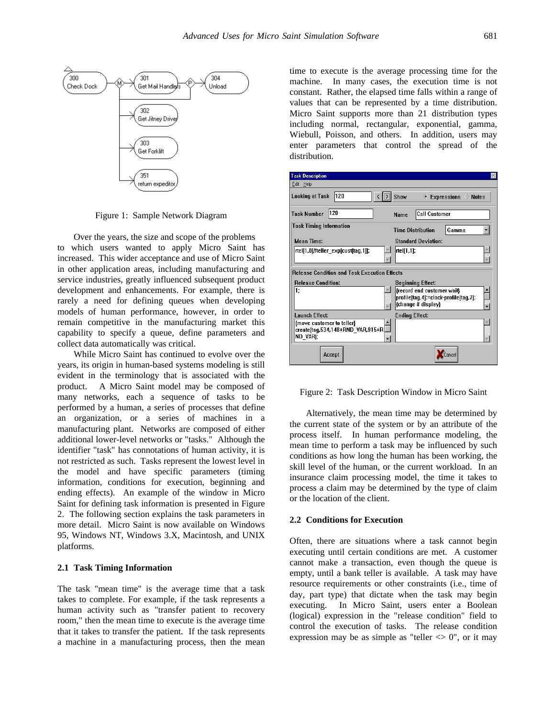

Figure 1: Sample Network Diagram

Over the years, the size and scope of the problems to which users wanted to apply Micro Saint has increased. This wider acceptance and use of Micro Saint in other application areas, including manufacturing and service industries, greatly influenced subsequent product development and enhancements. For example, there is rarely a need for defining queues when developing models of human performance, however, in order to remain competitive in the manufacturing market this capability to specify a queue, define parameters and collect data automatically was critical.

While Micro Saint has continued to evolve over the years, its origin in human-based systems modeling is still evident in the terminology that is associated with the product. A Micro Saint model may be composed of many networks, each a sequence of tasks to be performed by a human, a series of processes that define an organization, or a series of machines in a manufacturing plant. Networks are composed of either additional lower-level networks or "tasks." Although the identifier "task" has connotations of human activity, it is not restricted as such. Tasks represent the lowest level in the model and have specific parameters (timing information, conditions for execution, beginning and ending effects). An example of the window in Micro Saint for defining task information is presented in Figure 2. The following section explains the task parameters in more detail. Micro Saint is now available on Windows 95, Windows NT, Windows 3.X, Macintosh, and UNIX platforms.

#### **2.1 Task Timing Information**

The task "mean time" is the average time that a task takes to complete. For example, if the task represents a human activity such as "transfer patient to recovery room," then the mean time to execute is the average time that it takes to transfer the patient. If the task represents a machine in a manufacturing process, then the mean

time to execute is the average processing time for the machine. In many cases, the execution time is not constant. Rather, the elapsed time falls within a range of values that can be represented by a time distribution. Micro Saint supports more than 21 distribution types including normal, rectangular, exponential, gamma, Wiebull, Poisson, and others. In addition, users may enter parameters that control the spread of the distribution.

| <b>Task Description</b>                                                     |                                                                                           |  |  |  |
|-----------------------------------------------------------------------------|-------------------------------------------------------------------------------------------|--|--|--|
| He<br>Edit                                                                  |                                                                                           |  |  |  |
| 120<br><b>Looking at Task</b>                                               | Show<br>$\textcolor{blue}{\bigstar}$ Expressions $\textcolor{blue}{\bigstar}$ Notes       |  |  |  |
| 120<br><b>Task Number</b>                                                   | <b>Call Customer</b><br>Name                                                              |  |  |  |
| <b>Task Timing Information</b>                                              | <b>Time Distribution</b><br>Gamma                                                         |  |  |  |
| <b>Mean Time:</b>                                                           | <b>Standard Deviation:</b>                                                                |  |  |  |
| rtel 1,0  fteller_exp[cust[tag,1]];                                         | rtel[1,1];                                                                                |  |  |  |
| <b>Release Condition and Task Execution Effects</b>                         |                                                                                           |  |  |  |
| <b>Release Condition:</b><br>Beginning Effect:                              |                                                                                           |  |  |  |
| 1:                                                                          | frecord end customer wait}<br>profile[taq,4]:=clock-profile[taq,7];<br>{change # display} |  |  |  |
| Launch Effect:                                                              | <b>Ending Effect:</b>                                                                     |  |  |  |
| {move customer to teller}<br>create[tag,534,148+RND_VAR,915+R]<br>(ND VAR); |                                                                                           |  |  |  |
| Accept                                                                      | Cance                                                                                     |  |  |  |

Figure 2: Task Description Window in Micro Saint

Alternatively, the mean time may be determined by the current state of the system or by an attribute of the process itself. In human performance modeling, the mean time to perform a task may be influenced by such conditions as how long the human has been working, the skill level of the human, or the current workload. In an insurance claim processing model, the time it takes to process a claim may be determined by the type of claim or the location of the client.

### **2.2 Conditions for Execution**

Often, there are situations where a task cannot begin executing until certain conditions are met. A customer cannot make a transaction, even though the queue is empty, until a bank teller is available. A task may have resource requirements or other constraints (i.e., time of day, part type) that dictate when the task may begin executing. In Micro Saint, users enter a Boolean (logical) expression in the "release condition" field to control the execution of tasks. The release condition expression may be as simple as "teller  $\langle 0 \rangle$ ", or it may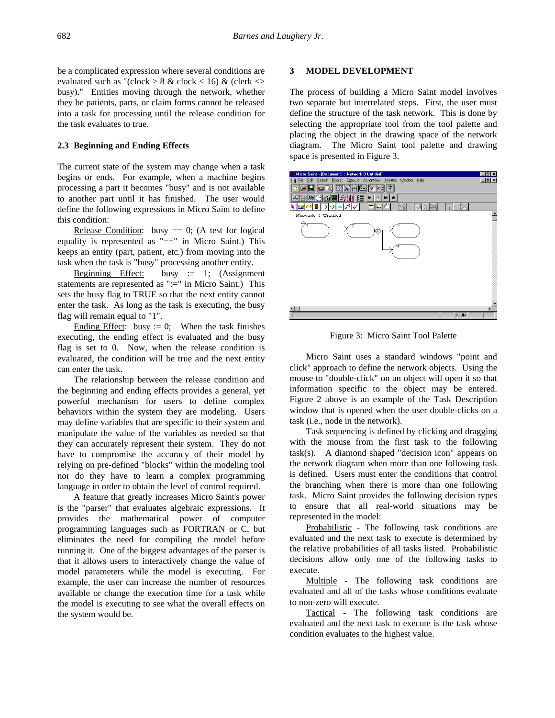be a complicated expression where several conditions are evaluated such as "(clock  $> 8 \&$  clock  $< 16$ ) & (clerk  $\leq$ busy)." Entities moving through the network, whether they be patients, parts, or claim forms cannot be released into a task for processing until the release condition for the task evaluates to true.

### **2.3 Beginning and Ending Effects**

The current state of the system may change when a task begins or ends. For example, when a machine begins processing a part it becomes "busy" and is not available to another part until it has finished. The user would define the following expressions in Micro Saint to define this condition:

Release Condition: busy  $= 0$ ; (A test for logical equality is represented as "==" in Micro Saint.) This keeps an entity (part, patient, etc.) from moving into the task when the task is "busy" processing another entity.

Beginning Effect: busy  $:= 1$ ; (Assignment statements are represented as ":=" in Micro Saint.) This sets the busy flag to TRUE so that the next entity cannot enter the task. As long as the task is executing, the busy flag will remain equal to "1".

Ending Effect: busy := 0; When the task finishes executing, the ending effect is evaluated and the busy flag is set to 0. Now, when the release condition is evaluated, the condition will be true and the next entity can enter the task.

The relationship between the release condition and the beginning and ending effects provides a general, yet powerful mechanism for users to define complex behaviors within the system they are modeling. Users may define variables that are specific to their system and manipulate the value of the variables as needed so that they can accurately represent their system. They do not have to compromise the accuracy of their model by relying on pre-defined "blocks" within the modeling tool nor do they have to learn a complex programming language in order to obtain the level of control required.

A feature that greatly increases Micro Saint's power is the "parser" that evaluates algebraic expressions. It provides the mathematical power of computer programming languages such as FORTRAN or C, but eliminates the need for compiling the model before running it. One of the biggest advantages of the parser is that it allows users to interactively change the value of model parameters while the model is executing. For example, the user can increase the number of resources available or change the execution time for a task while the model is executing to see what the overall effects on the system would be.

#### **3 MODEL DEVELOPMENT**

The process of building a Micro Saint model involves two separate but interrelated steps. First, the user must define the structure of the task network. This is done by selecting the appropriate tool from the tool palette and placing the object in the drawing space of the network diagram. The Micro Saint tool palette and drawing space is presented in Figure 3.



Figure 3: Micro Saint Tool Palette

Micro Saint uses a standard windows "point and click" approach to define the network objects. Using the mouse to "double-click" on an object will open it so that information specific to the object may be entered. Figure 2 above is an example of the Task Description window that is opened when the user double-clicks on a task (i.e., node in the network).

Task sequencing is defined by clicking and dragging with the mouse from the first task to the following task(s). A diamond shaped "decision icon" appears on the network diagram when more than one following task is defined. Users must enter the conditions that control the branching when there is more than one following task. Micro Saint provides the following decision types to ensure that all real-world situations may be represented in the model:

Probabilistic - The following task conditions are evaluated and the next task to execute is determined by the relative probabilities of all tasks listed. Probabilistic decisions allow only one of the following tasks to execute.

Multiple - The following task conditions are evaluated and all of the tasks whose conditions evaluate to non-zero will execute.

Tactical - The following task conditions are evaluated and the next task to execute is the task whose condition evaluates to the highest value.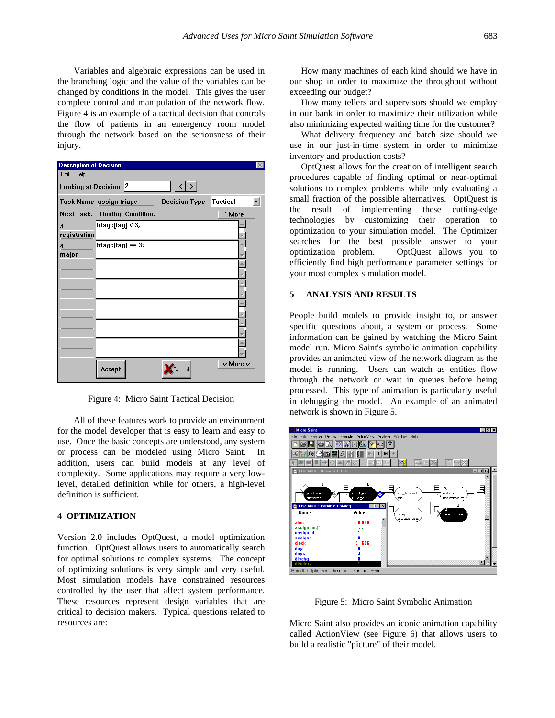Variables and algebraic expressions can be used in the branching logic and the value of the variables can be changed by conditions in the model. This gives the user complete control and manipulation of the network flow. Figure 4 is an example of a tactical decision that controls the flow of patients in an emergency room model through the network based on the seriousness of their injury.

| <b>Description of Decision</b> |                                      |                      |          |
|--------------------------------|--------------------------------------|----------------------|----------|
| Edit<br>Help                   |                                      |                      |          |
| <b>Looking at Decision</b>     | 12                                   | $\boxed{\mathbf{K}}$ |          |
|                                | Task Name assign triage              | <b>Decision Type</b> | Tactical |
|                                | <b>Next Task: Routing Condition:</b> |                      | * More * |
| 3<br>registration              | triage[tag] < 3;                     |                      |          |
| 4                              | triage[tag] == 3;                    |                      |          |
| major                          |                                      |                      |          |
|                                |                                      |                      |          |
|                                |                                      |                      |          |
|                                |                                      |                      |          |
|                                |                                      |                      |          |
|                                |                                      |                      |          |
|                                |                                      |                      |          |
|                                |                                      |                      |          |
|                                |                                      |                      |          |
|                                | Accept                               | Cancel               | v More v |

Figure 4: Micro Saint Tactical Decision

All of these features work to provide an environment for the model developer that is easy to learn and easy to use. Once the basic concepts are understood, any system or process can be modeled using Micro Saint. In addition, users can build models at any level of complexity. Some applications may require a very lowlevel, detailed definition while for others, a high-level definition is sufficient.

### **4 OPTIMIZATION**

Version 2.0 includes OptQuest, a model optimization function. OptQuest allows users to automatically search for optimal solutions to complex systems. The concept of optimizing solutions is very simple and very useful. Most simulation models have constrained resources controlled by the user that affect system performance. These resources represent design variables that are critical to decision makers. Typical questions related to resources are:

 How many machines of each kind should we have in our shop in order to maximize the throughput without exceeding our budget?

 How many tellers and supervisors should we employ in our bank in order to maximize their utilization while also minimizing expected waiting time for the customer?

 What delivery frequency and batch size should we use in our just-in-time system in order to minimize inventory and production costs?

 OptQuest allows for the creation of intelligent search procedures capable of finding optimal or near-optimal solutions to complex problems while only evaluating a small fraction of the possible alternatives. OptQuest is the result of implementing these cutting-edge technologies by customizing their operation to optimization to your simulation model. The Optimizer searches for the best possible answer to your optimization problem. OptQuest allows you to efficiently find high performance parameter settings for your most complex simulation model.

### **5 ANALYSIS AND RESULTS**

People build models to provide insight to, or answer specific questions about, a system or process. Some information can be gained by watching the Micro Saint model run. Micro Saint's symbolic animation capability provides an animated view of the network diagram as the model is running. Users can watch as entities flow through the network or wait in queues before being processed. This type of animation is particularly useful in debugging the model. An example of an animated network is shown in Figure 5.



Figure 5: Micro Saint Symbolic Animation

Micro Saint also provides an iconic animation capability called ActionView (see Figure 6) that allows users to build a realistic "picture" of their model.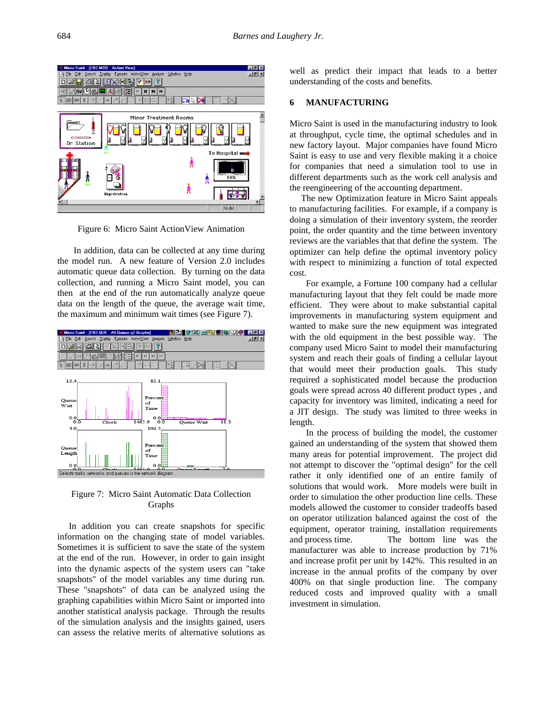

Figure 6: Micro Saint ActionView Animation

In addition, data can be collected at any time during the model run. A new feature of Version 2.0 includes automatic queue data collection. By turning on the data collection, and running a Micro Saint model, you can then at the end of the run automatically analyze queue data on the length of the queue, the average wait time, the maximum and minimum wait times (see Figure 7).



Figure 7: Micro Saint Automatic Data Collection Graphs

 In addition you can create snapshots for specific information on the changing state of model variables. Sometimes it is sufficient to save the state of the system at the end of the run. However, in order to gain insight into the dynamic aspects of the system users can "take snapshots" of the model variables any time during run. These "snapshots" of data can be analyzed using the graphing capabilities within Micro Saint or imported into another statistical analysis package. Through the results of the simulation analysis and the insights gained, users can assess the relative merits of alternative solutions as

well as predict their impact that leads to a better understanding of the costs and benefits.

#### **6 MANUFACTURING**

Micro Saint is used in the manufacturing industry to look at throughput, cycle time, the optimal schedules and in new factory layout. Major companies have found Micro Saint is easy to use and very flexible making it a choice for companies that need a simulation tool to use in different departments such as the work cell analysis and the reengineering of the accounting department.

 The new Optimization feature in Micro Saint appeals to manufacturing facilities. For example, if a company is doing a simulation of their inventory system, the reorder point, the order quantity and the time between inventory reviews are the variables that that define the system. The optimizer can help define the optimal inventory policy with respect to minimizing a function of total expected cost.

For example, a Fortune 100 company had a cellular manufacturing layout that they felt could be made more efficient. They were about to make substantial capital improvements in manufacturing system equipment and wanted to make sure the new equipment was integrated with the old equipment in the best possible way. The company used Micro Saint to model their manufacturing system and reach their goals of finding a cellular layout that would meet their production goals. This study required a sophisticated model because the production goals were spread across 40 different product types , and capacity for inventory was limited, indicating a need for a JIT design. The study was limited to three weeks in length.

In the process of building the model, the customer gained an understanding of the system that showed them many areas for potential improvement. The project did not attempt to discover the "optimal design" for the cell rather it only identified one of an entire family of solutions that would work. More models were built in order to simulation the other production line cells. These models allowed the customer to consider tradeoffs based on operator utilization balanced against the cost of the equipment, operator training, installation requirements and process time. The bottom line was the manufacturer was able to increase production by 71% and increase profit per unit by 142%. This resulted in an increase in the annual profits of the company by over 400% on that single production line. The company reduced costs and improved quality with a small investment in simulation.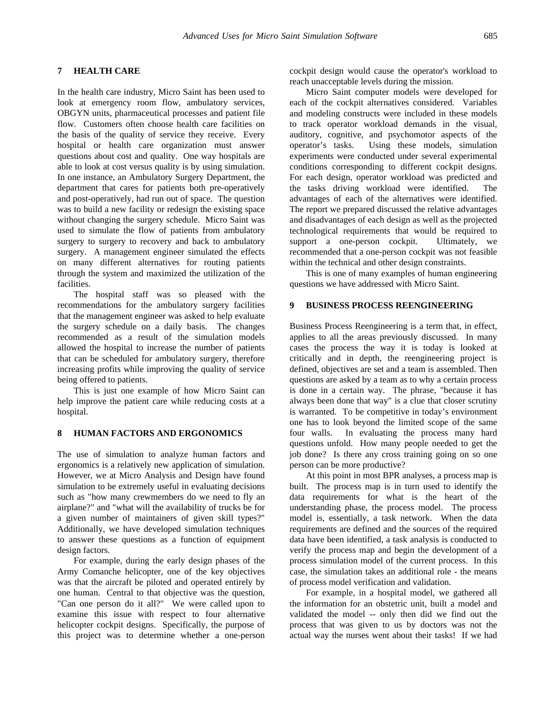## **7 HEALTH CARE**

In the health care industry, Micro Saint has been used to look at emergency room flow, ambulatory services, OBGYN units, pharmaceutical processes and patient file flow. Customers often choose health care facilities on the basis of the quality of service they receive. Every hospital or health care organization must answer questions about cost and quality. One way hospitals are able to look at cost versus quality is by using simulation. In one instance, an Ambulatory Surgery Department, the department that cares for patients both pre-operatively and post-operatively, had run out of space. The question was to build a new facility or redesign the existing space without changing the surgery schedule. Micro Saint was used to simulate the flow of patients from ambulatory surgery to surgery to recovery and back to ambulatory surgery. A management engineer simulated the effects on many different alternatives for routing patients through the system and maximized the utilization of the facilities.

The hospital staff was so pleased with the recommendations for the ambulatory surgery facilities that the management engineer was asked to help evaluate the surgery schedule on a daily basis. The changes recommended as a result of the simulation models allowed the hospital to increase the number of patients that can be scheduled for ambulatory surgery, therefore increasing profits while improving the quality of service being offered to patients.

This is just one example of how Micro Saint can help improve the patient care while reducing costs at a hospital.

## **8 HUMAN FACTORS AND ERGONOMICS**

The use of simulation to analyze human factors and ergonomics is a relatively new application of simulation. However, we at Micro Analysis and Design have found simulation to be extremely useful in evaluating decisions such as "how many crewmembers do we need to fly an airplane?" and "what will the availability of trucks be for a given number of maintainers of given skill types?" Additionally, we have developed simulation techniques to answer these questions as a function of equipment design factors.

For example, during the early design phases of the Army Comanche helicopter, one of the key objectives was that the aircraft be piloted and operated entirely by one human. Central to that objective was the question, "Can one person do it all?" We were called upon to examine this issue with respect to four alternative helicopter cockpit designs. Specifically, the purpose of this project was to determine whether a one-person cockpit design would cause the operator's workload to reach unacceptable levels during the mission.

Micro Saint computer models were developed for each of the cockpit alternatives considered. Variables and modeling constructs were included in these models to track operator workload demands in the visual, auditory, cognitive, and psychomotor aspects of the operator's tasks. Using these models, simulation experiments were conducted under several experimental conditions corresponding to different cockpit designs. For each design, operator workload was predicted and the tasks driving workload were identified. The advantages of each of the alternatives were identified. The report we prepared discussed the relative advantages and disadvantages of each design as well as the projected technological requirements that would be required to support a one-person cockpit. Ultimately, we recommended that a one-person cockpit was not feasible within the technical and other design constraints.

This is one of many examples of human engineering questions we have addressed with Micro Saint.

## **9 BUSINESS PROCESS REENGINEERING**

Business Process Reengineering is a term that, in effect, applies to all the areas previously discussed. In many cases the process the way it is today is looked at critically and in depth, the reengineering project is defined, objectives are set and a team is assembled. Then questions are asked by a team as to why a certain process is done in a certain way. The phrase, "because it has always been done that way" is a clue that closer scrutiny is warranted. To be competitive in today's environment one has to look beyond the limited scope of the same four walls. In evaluating the process many hard questions unfold. How many people needed to get the job done? Is there any cross training going on so one person can be more productive?

At this point in most BPR analyses, a process map is built. The process map is in turn used to identify the data requirements for what is the heart of the understanding phase, the process model. The process model is, essentially, a task network. When the data requirements are defined and the sources of the required data have been identified, a task analysis is conducted to verify the process map and begin the development of a process simulation model of the current process. In this case, the simulation takes an additional role - the means of process model verification and validation.

For example, in a hospital model, we gathered all the information for an obstetric unit, built a model and validated the model -- only then did we find out the process that was given to us by doctors was not the actual way the nurses went about their tasks! If we had